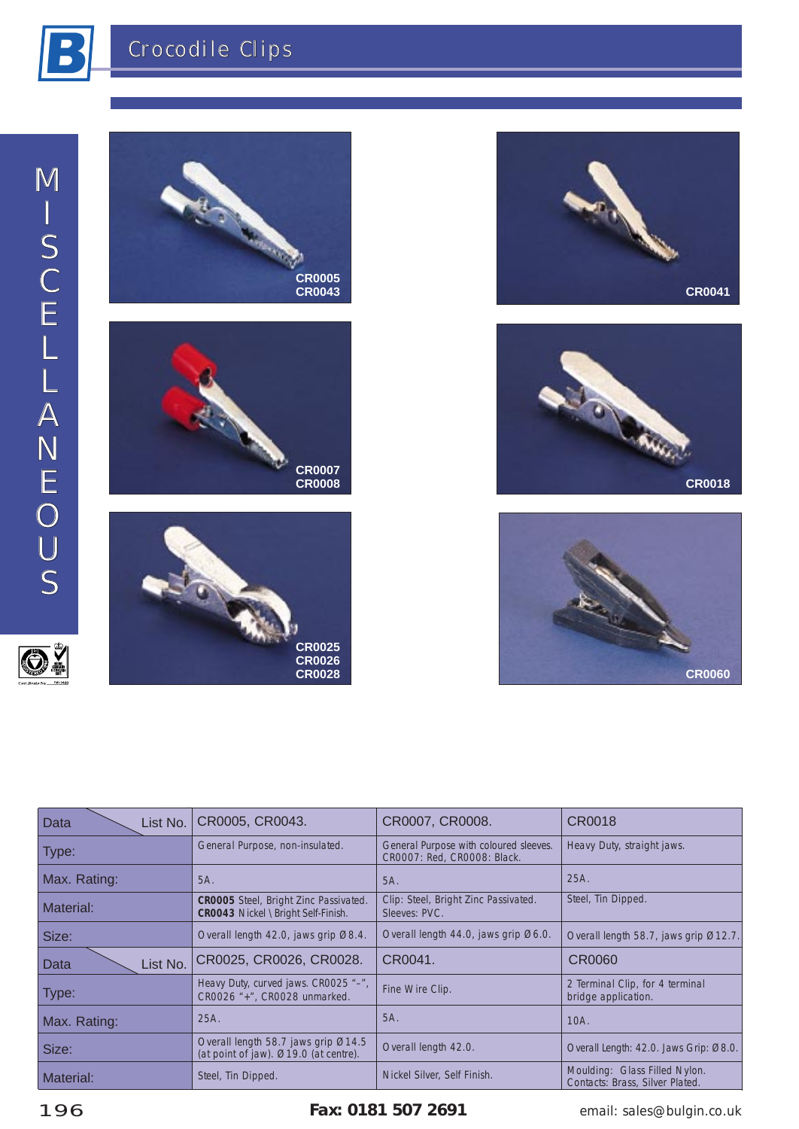

O.













| Data<br>List No. | CR0005, CR0043.                                                              | CR0007, CR0008.                                                       | CR0018                                                           |  |
|------------------|------------------------------------------------------------------------------|-----------------------------------------------------------------------|------------------------------------------------------------------|--|
| Type:            | General Purpose, non-insulated.                                              | General Purpose with coloured sleeves.<br>CR0007: Red, CR0008: Black. | Heavy Duty, straight jaws.                                       |  |
| Max. Rating:     | 5A.                                                                          | 5A.                                                                   | 25A.                                                             |  |
| Material:        | CR0005 Steel, Bright Zinc Passivated.<br>CR0043 Nickel \Bright Self-Finish.  | Clip: Steel, Bright Zinc Passivated.<br>Sleeves: PVC.                 | Steel, Tin Dipped.                                               |  |
| Size:            | Overall length 42.0, jaws grip Ø8.4.                                         | Overall length 44.0, jaws grip Ø6.0.                                  | Overall length 58.7, jaws grip Ø12.7.                            |  |
| List No.<br>Data | CR0025, CR0026, CR0028.                                                      | CR0041.                                                               | CR0060                                                           |  |
| Type:            | Heavy Duty, curved jaws. CR0025 "-",<br>CR0026 "+", CR0028 unmarked.         | Fine Wire Clip.                                                       | 2 Terminal Clip, for 4 terminal<br>bridge application.           |  |
| Max. Rating:     | 25A.                                                                         | 5A.                                                                   | 10A.                                                             |  |
| Size:            | Overall length 58.7 jaws grip Ø14.5<br>(at point of jaw). Ø19.0 (at centre). | Overall length 42.0.                                                  | Overall Length: 42.0. Jaws Grip: Ø8.0.                           |  |
| Material:        | Steel, Tin Dipped.                                                           | Nickel Silver, Self Finish.                                           | Moulding: Glass Filled Nylon.<br>Contacts: Brass, Silver Plated. |  |

196 **Fax: 0181 507 2691 Eximing the Set of Strates 196 Fax: 0181 507 2691 email: sales@bulgin.co.uk**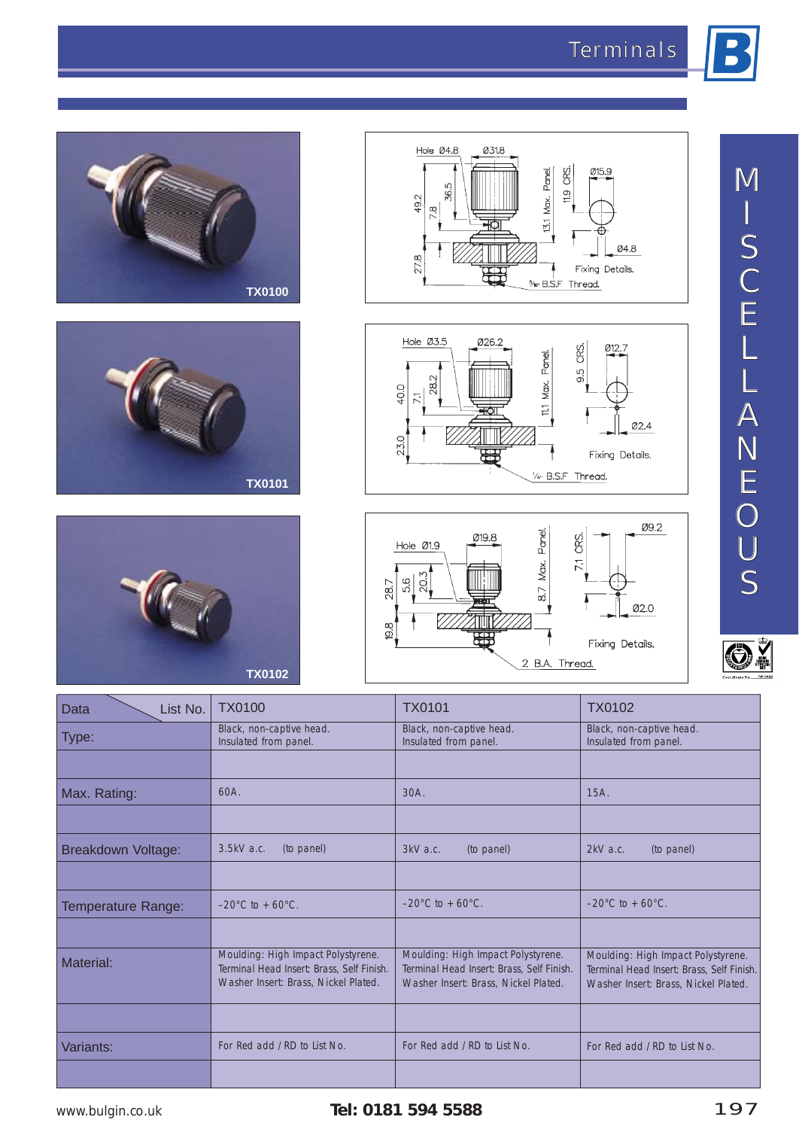











| IVI<br>$\iota$<br>S                                                    |
|------------------------------------------------------------------------|
| $\mathcal C$<br><u>  E</u>                                             |
| $\mathcal L$<br>$\overline{\mathsf{L}}$<br>$\bm{\mathcal{A}}$          |
| $\Lambda$<br>$\sqrt{}$<br>ΙE                                           |
| $\bigcirc$<br>$\bm{U}$<br>$\mathcal{S}% _{0}^{X\rightarrow\mathbb{R}}$ |

OŽ

| Data<br>List No.   | <b>TX0100</b>                                                                                                           | <b>TX0101</b>                                                                                                           | <b>TX0102</b>                                                                                                           |  |
|--------------------|-------------------------------------------------------------------------------------------------------------------------|-------------------------------------------------------------------------------------------------------------------------|-------------------------------------------------------------------------------------------------------------------------|--|
| Type:              | Black, non-captive head.<br>Insulated from panel.                                                                       | Black, non-captive head.<br>Insulated from panel.                                                                       | Black, non-captive head.<br>Insulated from panel.                                                                       |  |
|                    |                                                                                                                         |                                                                                                                         |                                                                                                                         |  |
| Max. Rating:       | $60A$ .                                                                                                                 | 30A.                                                                                                                    | 15A.                                                                                                                    |  |
|                    |                                                                                                                         |                                                                                                                         |                                                                                                                         |  |
| Breakdown Voltage: | 3.5kV a.c.<br>(to panel)                                                                                                | 3kV a.c.<br>(to panel)                                                                                                  | (to panel)<br>$2kV$ a.c.                                                                                                |  |
|                    |                                                                                                                         |                                                                                                                         |                                                                                                                         |  |
| Temperature Range: | $-20^{\circ}$ C to + 60 $^{\circ}$ C.                                                                                   | $-20^{\circ}$ C to + 60 $^{\circ}$ C.                                                                                   | $-20^{\circ}$ C to + 60 $^{\circ}$ C.                                                                                   |  |
|                    |                                                                                                                         |                                                                                                                         |                                                                                                                         |  |
| Material:          | Moulding: High Impact Polystyrene.<br>Terminal Head Insert: Brass, Self Finish.<br>Washer Insert: Brass, Nickel Plated. | Moulding: High Impact Polystyrene.<br>Terminal Head Insert: Brass, Self Finish.<br>Washer Insert: Brass, Nickel Plated. | Moulding: High Impact Polystyrene.<br>Terminal Head Insert: Brass, Self Finish.<br>Washer Insert: Brass, Nickel Plated. |  |
|                    |                                                                                                                         |                                                                                                                         |                                                                                                                         |  |
| Variants:          | For Red add / RD to List No.                                                                                            | For Red add / RD to List No.                                                                                            | For Red add / RD to List No.                                                                                            |  |
|                    |                                                                                                                         |                                                                                                                         |                                                                                                                         |  |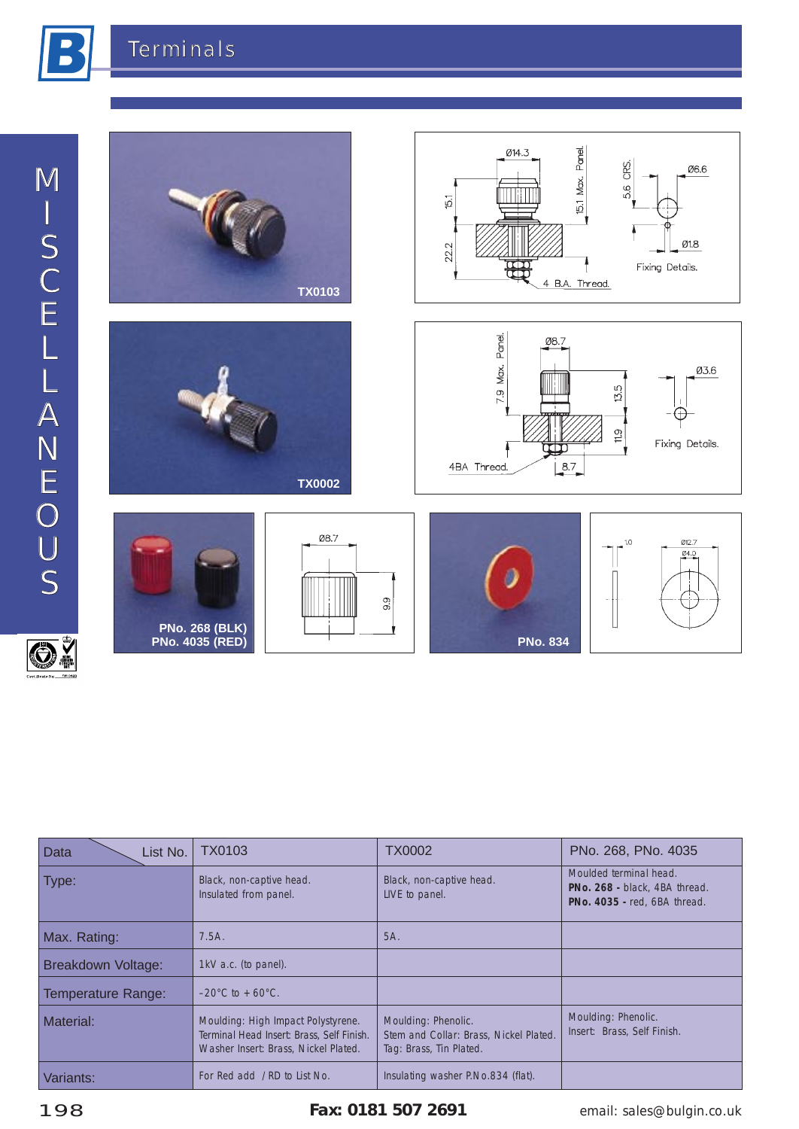



| List No.<br>Data   | TX0103                                                                                                                  | <b>TX0002</b>                                                                            | PNo. 268, PNo. 4035                                                                     |  |  |
|--------------------|-------------------------------------------------------------------------------------------------------------------------|------------------------------------------------------------------------------------------|-----------------------------------------------------------------------------------------|--|--|
| Type:              | Black, non-captive head.<br>Insulated from panel.                                                                       | Black, non-captive head.<br>LIVE to panel.                                               | Moulded terminal head.<br>PNo. 268 - black, 4BA thread.<br>PNo. 4035 - red, 6BA thread. |  |  |
| Max. Rating:       | 7.5A.                                                                                                                   | 5A.                                                                                      |                                                                                         |  |  |
| Breakdown Voltage: | 1kV a.c. (to panel).                                                                                                    |                                                                                          |                                                                                         |  |  |
| Temperature Range: | $-20^{\circ}$ C to + 60 $^{\circ}$ C.                                                                                   |                                                                                          |                                                                                         |  |  |
| Material:          | Moulding: High Impact Polystyrene.<br>Terminal Head Insert: Brass, Self Finish.<br>Washer Insert: Brass, Nickel Plated. | Moulding: Phenolic.<br>Stem and Collar: Brass, Nickel Plated.<br>Tag: Brass, Tin Plated. | Moulding: Phenolic.<br>Insert: Brass, Self Finish.                                      |  |  |
| Variants:          | For Red add /RD to List No.                                                                                             | Insulating washer P.No.834 (flat).                                                       |                                                                                         |  |  |

198 **Fax: 0181 507 2691** email: sales@bulgin.co.uk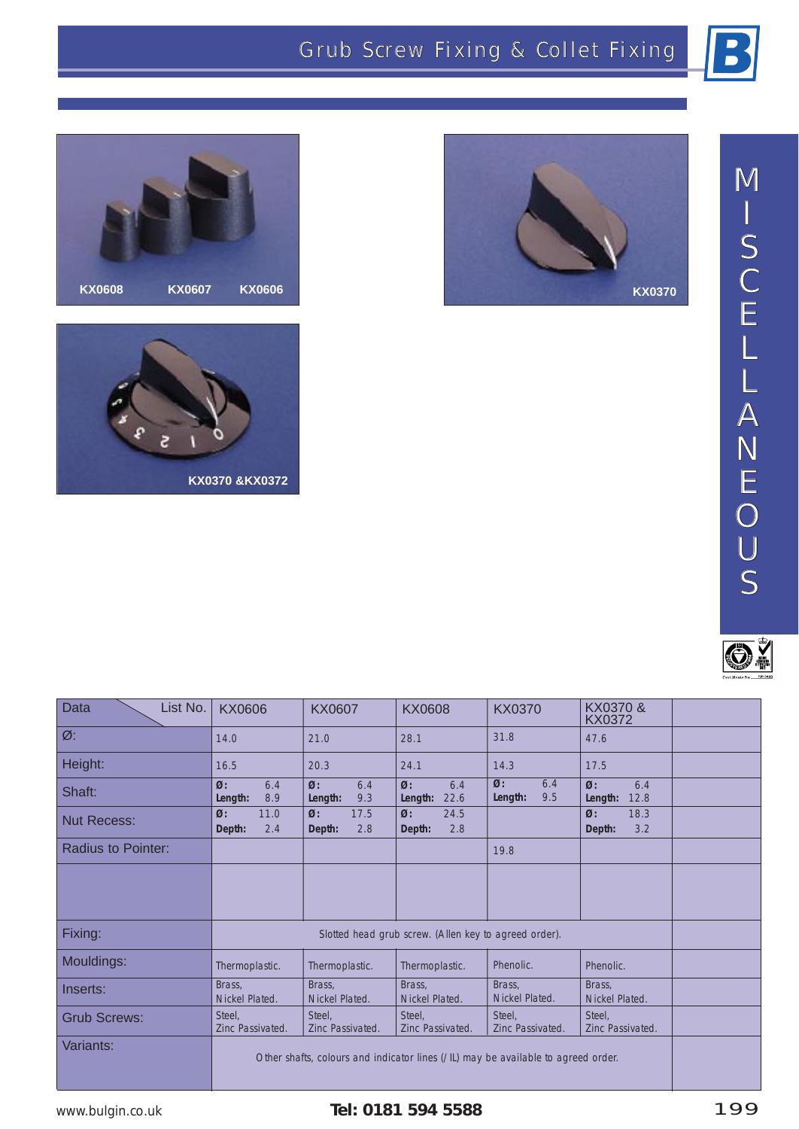*M*

*I*

*S*







| $\boldsymbol{C}$                                                    |
|---------------------------------------------------------------------|
| IΞ                                                                  |
| Ľ                                                                   |
| <u> L</u>                                                           |
| $\boldsymbol{\not\!\!A}$                                            |
| W                                                                   |
| E                                                                   |
| $\left(\right)$                                                     |
| $\boldsymbol{U}$                                                    |
| $\mathcal{S}% _{M_{1},M_{2}}^{(h,\sigma),(h,\sigma)}(-\varepsilon)$ |
|                                                                     |



| List No.<br><b>Data</b>   | KX0606                                                | <b>KX0607</b>                                                                     | <b>KX0608</b>                          | <b>KX0370</b>                          | KX0370 &<br>KX0372                                     |  |
|---------------------------|-------------------------------------------------------|-----------------------------------------------------------------------------------|----------------------------------------|----------------------------------------|--------------------------------------------------------|--|
| $\varnothing$ :           | 14.0                                                  | 21.0                                                                              | 28.1                                   | 31.8                                   | 47.6                                                   |  |
| Height:                   | 16.5                                                  | 20.3                                                                              | 24.1                                   | 14.3                                   | 17.5                                                   |  |
| Shaft:                    | $\emptyset$ :<br>6.4<br>8.9<br>Length:                | $\emptyset$ :<br>6.4<br>9.3<br>Length:                                            | $\emptyset$ :<br>6.4<br>Length: $22.6$ | 6.4<br>$\emptyset$ :<br>9.5<br>Length: | $\boldsymbol{\varnothing}$ :<br>6.4<br>Length:<br>12.8 |  |
| <b>Nut Recess:</b>        | $\emptyset$ :<br>11.0<br>2.4<br>Depth:                | $\emptyset$ :<br>17.5<br>Depth:<br>2.8                                            | $\emptyset$ :<br>24.5<br>2.8<br>Depth: |                                        | $\emptyset$ :<br>18.3<br>3.2<br>Depth:                 |  |
| <b>Radius to Pointer:</b> |                                                       |                                                                                   |                                        | 19.8                                   |                                                        |  |
|                           |                                                       |                                                                                   |                                        |                                        |                                                        |  |
| Fixing:                   | Slotted head grub screw. (Allen key to agreed order). |                                                                                   |                                        |                                        |                                                        |  |
| Mouldings:                | Thermoplastic.                                        | Thermoplastic.                                                                    | Thermoplastic.                         | Phenolic.                              | Phenolic.                                              |  |
| Inserts:                  | Brass,<br>Nickel Plated.                              | Brass,<br>Nickel Plated.                                                          | Brass,<br>Nickel Plated.               | Brass,<br>Nickel Plated.               | Brass,<br>Nickel Plated.                               |  |
| <b>Grub Screws:</b>       | Steel,<br>Zinc Passivated.                            | Steel.<br>Zinc Passivated.                                                        | Steel.<br>Zinc Passivated.             | Steel,<br>Zinc Passivated.             | Steel.<br>Zinc Passivated.                             |  |
| Variants:                 |                                                       | Other shafts, colours and indicator lines (/IL) may be available to agreed order. |                                        |                                        |                                                        |  |

## www.bulgin.co.uk **Tel: 0181 594 5588** 199